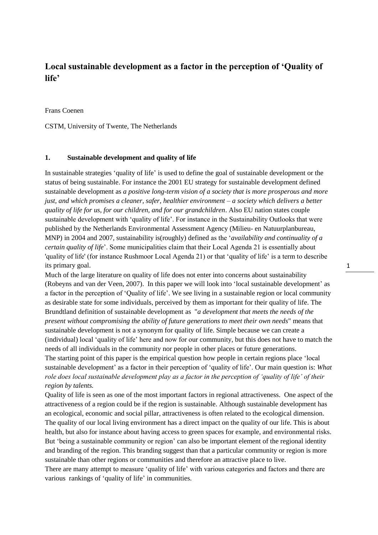# **Local sustainable development as a factor in the perception of 'Quality of life'**

Frans Coenen

CSTM, University of Twente, The Netherlands

# **1. Sustainable development and quality of life**

In sustainable strategies 'quality of life' is used to define the goal of sustainable development or the status of being sustainable. For instance the 2001 EU strategy for sustainable development defined sustainable development as *a positive long-term vision of a society that is more prosperous and more just, and which promises a cleaner, safer, healthier environment – a society which delivers a better quality of life for us, for our children, and for our grandchildren*. Also EU nation states couple sustainable development with 'quality of life'. For instance in the Sustainability Outlooks that were published by the Netherlands Environmental Assessment Agency (Milieu- en Natuurplanbureau, MNP) in 2004 and 2007, sustainability is(roughly) defined as the '*availability and continuality of a certain quality of life*'. Some municipalities claim that their Local Agenda 21 is essentially about 'quality of life' (for instance Rushmoor Local Agenda 21) or that 'quality of life' is a term to describe its primary goal.

Much of the large literature on quality of life does not enter into concerns about sustainability (Robeyns and van der Veen, 2007). In this paper we will look into 'local sustainable development' as a factor in the perception of 'Quality of life'. We see living in a sustainable region or local community as desirable state for some individuals, perceived by them as important for their quality of life. The Brundtland definition of sustainable development as "*a development that meets the needs of the present without compromising the ability of future generations to meet their own needs*" means that sustainable development is not a synonym for quality of life. Simple because we can create a (individual) local 'quality of life' here and now for our community, but this does not have to match the needs of all individuals in the community nor people in other places or future generations. The starting point of this paper is the empirical question how people in certain regions place 'local sustainable development' as a factor in their perception of 'quality of life'. Our main question is: *What role does local sustainable development play as a factor in the perception of 'quality of life' of their region by talents.*

Quality of life is seen as one of the most important factors in regional attractiveness. One aspect of the attractiveness of a region could be if the region is sustainable. Although sustainable development has an ecological, economic and social pillar, attractiveness is often related to the ecological dimension. The quality of our local living environment has a direct impact on the quality of our life. This is about health, but also for instance about having access to green spaces for example, and environmental risks. But 'being a sustainable community or region' can also be important element of the regional identity and branding of the region. This branding suggest than that a particular community or region is more sustainable than other regions or communities and therefore an attractive place to live.

There are many attempt to measure 'quality of life' with various categories and factors and there are various rankings of 'quality of life' in communities.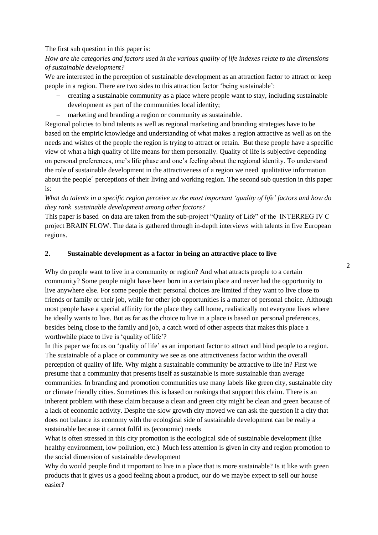## The first sub question in this paper is:

# *How are the categories and factors used in the various quality of life indexes relate to the dimensions of sustainable development?*

We are interested in the perception of sustainable development as an attraction factor to attract or keep people in a region. There are two sides to this attraction factor 'being sustainable':

- creating a sustainable community as a place where people want to stay, including sustainable development as part of the communities local identity;
- marketing and branding a region or community as sustainable.

Regional policies to bind talents as well as regional marketing and branding strategies have to be based on the empiric knowledge and understanding of what makes a region attractive as well as on the needs and wishes of the people the region is trying to attract or retain. But these people have a specific view of what a high quality of life means for them personally. Quality of life is subjective depending on personal preferences, one's life phase and one's feeling about the regional identity. To understand the role of sustainable development in the attractiveness of a region we need qualitative information about the people´ perceptions of their living and working region. The second sub question in this paper is:

*What do talents in a specific region perceive as the most important 'quality of life' factors and how do they rank sustainable development among other factors?* 

This paper is based on data are taken from the sub-project "Quality of Life" of the INTERREG IV C project BRAIN FLOW. The data is gathered through in-depth interviews with talents in five European regions.

## **2. Sustainable development as a factor in being an attractive place to live**

Why do people want to live in a community or region? And what attracts people to a certain community? Some people might have been born in a certain place and never had the opportunity to live anywhere else. For some people their personal choices are limited if they want to live close to friends or family or their job, while for other job opportunities is a matter of personal choice. Although most people have a special affinity for the place they call home, realistically not everyone lives where he ideally wants to live. But as far as the choice to live in a place is based on personal preferences, besides being close to the family and job, a catch word of other aspects that makes this place a worthwhile place to live is 'quality of life'?

In this paper we focus on 'quality of life' as an important factor to attract and bind people to a region. The sustainable of a place or community we see as one attractiveness factor within the overall perception of quality of life. Why might a sustainable community be attractive to life in? First we presume that a community that presents itself as sustainable is more sustainable than average communities. In branding and promotion communities use many labels like green city, sustainable city or climate friendly cities. Sometimes this is based on rankings that support this claim. There is an inherent problem with these claim because a clean and green city might be clean and green because of a lack of economic activity. Despite the slow growth city moved we can ask the question if a city that does not balance its economy with the ecological side of sustainable development can be really a sustainable because it cannot fulfil its (economic) needs

What is often stressed in this city promotion is the ecological side of sustainable development (like healthy environment, low pollution, etc.) Much less attention is given in city and region promotion to the social dimension of sustainable development

Why do would people find it important to live in a place that is more sustainable? Is it like with green products that it gives us a good feeling about a product, our do we maybe expect to sell our house easier?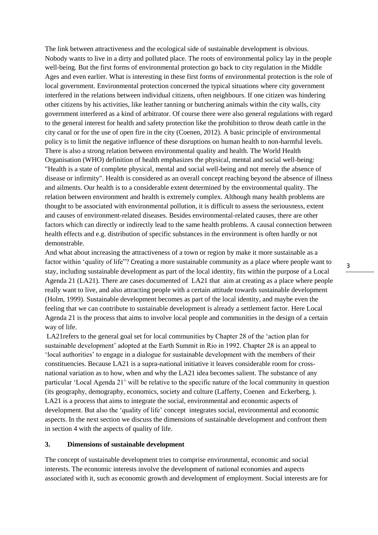The link between attractiveness and the ecological side of sustainable development is obvious. Nobody wants to live in a dirty and polluted place. The roots of environmental policy lay in the people well-being. But the first forms of environmental protection go back to city regulation in the Middle Ages and even earlier. What is interesting in these first forms of environmental protection is the role of local government. Environmental protection concerned the typical situations where city government interfered in the relations between individual citizens, often neighbours. If one citizen was hindering other citizens by his activities, like leather tanning or butchering animals within the city walls, city government interfered as a kind of arbitrator. Of course there were also general regulations with regard to the general interest for health and safety protection like the prohibition to throw death cattle in the city canal or for the use of open fire in the city (Coenen, 2012). A basic principle of environmental policy is to limit the negative influence of these disruptions on human health to non-harmful levels. There is also a strong relation between environmental quality and health. The World Health Organisation (WHO) definition of health emphasizes the physical, mental and social well-being: "Health is a state of complete physical, mental and social well-being and not merely the absence of disease or infirmity". Health is considered as an overall concept reaching beyond the absence of illness and ailments. Our health is to a considerable extent determined by the environmental quality. The relation between environment and health is extremely complex. Although many health problems are thought to be associated with environmental pollution, it is difficult to assess the seriousness, extent and causes of environment-related diseases. Besides environmental-related causes, there are other factors which can directly or indirectly lead to the same health problems. A causal connection between health effects and e.g. distribution of specific substances in the environment is often hardly or not demonstrable.

And what about increasing the attractiveness of a town or region by make it more sustainable as a factor within 'quality of life"? Creating a more sustainable community as a place where people want to stay, including sustainable development as part of the local identity, fits within the purpose of a Local Agenda 21 (LA21). There are cases documented of LA21 that aim at creating as a place where people really want to live, and also attracting people with a certain attitude towards sustainable development (Holm, 1999). Sustainable development becomes as part of the local identity, and maybe even the feeling that we can contribute to sustainable development is already a settlement factor. Here Local Agenda 21 is the process that aims to involve local people and communities in the design of a certain way of life.

LA21refers to the general goal set for local communities by Chapter 28 of the 'action plan for sustainable development' adopted at the Earth Summit in Rio in 1992. Chapter 28 is an appeal to 'local authorities' to engage in a dialogue for sustainable development with the members of their constituencies. Because LA21 is a supra-national initiative it leaves considerable room for crossnational variation as to how, when and why the LA21 idea becomes salient. The substance of any particular 'Local Agenda 21' will be relative to the specific nature of the local community in question (its geography, demography, economics, society and culture (Lafferty, Coenen and Eckerberg, ). LA21 is a process that aims to integrate the social, environmental and economic aspects of development. But also the 'quality of life' concept integrates social, environmental and economic aspects. In the next section we discuss the dimensions of sustainable development and confront them in section 4 with the aspects of quality of life.

#### **3. Dimensions of sustainable development**

The concept of sustainable development tries to comprise environmental, economic and social interests. The economic interests involve the development of national economies and aspects associated with it, such as economic growth and development of employment. Social interests are for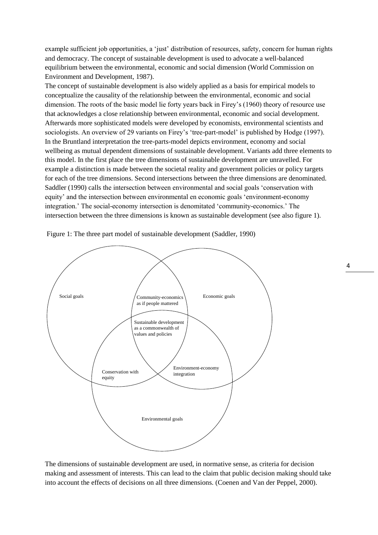example sufficient job opportunities, a 'just' distribution of resources, safety, concern for human rights and democracy. The concept of sustainable development is used to advocate a well-balanced equilibrium between the environmental, economic and social dimension (World Commission on Environment and Development, 1987).

The concept of sustainable development is also widely applied as a basis for empirical models to conceptualize the causality of the relationship between the environmental, economic and social dimension. The roots of the basic model lie forty years back in Firey's (1960) theory of resource use that acknowledges a close relationship between environmental, economic and social development. Afterwards more sophisticated models were developed by economists, environmental scientists and sociologists. An overview of 29 variants on Firey's 'tree-part-model' is published by Hodge (1997). In the Bruntland interpretation the tree-parts-model depicts environment, economy and social wellbeing as mutual dependent dimensions of sustainable development. Variants add three elements to this model. In the first place the tree dimensions of sustainable development are unravelled. For example a distinction is made between the societal reality and government policies or policy targets for each of the tree dimensions. Second intersections between the three dimensions are denominated. Saddler (1990) calls the intersection between environmental and social goals 'conservation with equity' and the intersection between environmental en economic goals 'environment-economy integration.' The social-economy intersection is denomitated 'community-economics.' The intersection between the three dimensions is known as sustainable development (see also figure 1).



Figure 1: The three part model of sustainable development (Saddler, 1990)

The dimensions of sustainable development are used, in normative sense, as criteria for decision making and assessment of interests. This can lead to the claim that public decision making should take into account the effects of decisions on all three dimensions. (Coenen and Van der Peppel, 2000).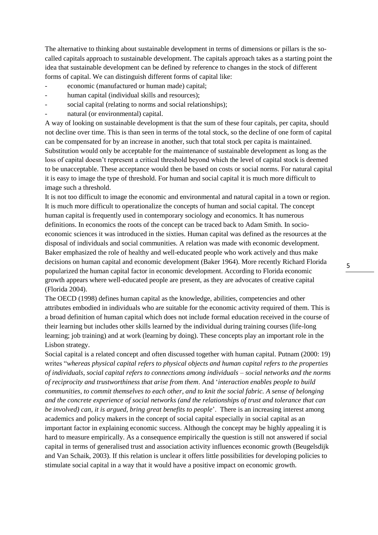The alternative to thinking about sustainable development in terms of dimensions or pillars is the socalled capitals approach to sustainable development. The capitals approach takes as a starting point the idea that sustainable development can be defined by reference to changes in the stock of different forms of capital. We can distinguish different forms of capital like:

- economic (manufactured or human made) capital;
- human capital (individual skills and resources);
- social capital (relating to norms and social relationships);
- natural (or environmental) capital.

A way of looking on sustainable development is that the sum of these four capitals, per capita, should not decline over time. This is than seen in terms of the total stock, so the decline of one form of capital can be compensated for by an increase in another, such that total stock per capita is maintained. Substitution would only be acceptable for the maintenance of sustainable development as long as the loss of capital doesn't represent a critical threshold beyond which the level of capital stock is deemed to be unacceptable. These acceptance would then be based on costs or social norms. For natural capital it is easy to image the type of threshold. For human and social capital it is much more difficult to image such a threshold.

It is not too difficult to image the economic and environmental and natural capital in a town or region. It is much more difficult to operationalize the concepts of human and social capital. The concept human capital is frequently used in contemporary sociology and economics. It has numerous definitions. In economics the roots of the concept can be traced back to Adam Smith. In socioeconomic sciences it was introduced in the sixties. Human capital was defined as the resources at the disposal of individuals and social communities. A relation was made with economic development. Baker emphasized the role of healthy and well-educated people who work actively and thus make decisions on human capital and economic development (Baker 1964). More recently Richard Florida popularized the human capital factor in economic development. According to Florida economic growth appears where well-educated people are present, as they are advocates of creative capital (Florida 2004).

The OECD (1998) defines human capital as the knowledge, abilities, competencies and other attributes embodied in individuals who are suitable for the economic activity required of them. This is a broad definition of human capital which does not include formal education received in the course of their learning but includes other skills learned by the individual during training courses (life-long learning; job training) and at work (learning by doing). These concepts play an important role in the Lisbon strategy.

Social capital is a related concept and often discussed together with human capital. Putnam (2000: 19) writes "*whereas physical capital refers to physical objects and human capital refers to the properties of individuals, social capital refers to connections among individuals – social networks and the norms of reciprocity and trustworthiness that arise from them*. And '*interaction enables people to build communities, to commit themselves to each other, and to knit the social fabric. A sense of belonging and the concrete experience of social networks (and the relationships of trust and tolerance that can be involved) can, it is argued, bring great benefits to people*'. There is an increasing interest among academics and policy makers in the concept of social capital especially in social capital as an important factor in explaining economic success. Although the concept may be highly appealing it is hard to measure empirically. As a consequence empirically the question is still not answered if social capital in terms of generalised trust and association activity influences economic growth (Beugelsdijk and Van Schaik, 2003). If this relation is unclear it offers little possibilities for developing policies to stimulate social capital in a way that it would have a positive impact on economic growth.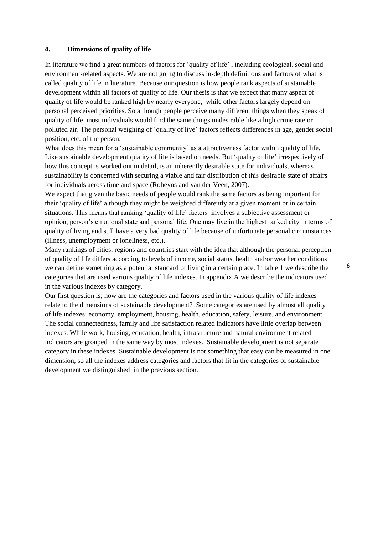## **4. Dimensions of quality of life**

In literature we find a great numbers of factors for 'quality of life' , including ecological, social and environment-related aspects. We are not going to discuss in-depth definitions and factors of what is called quality of life in literature. Because our question is how people rank aspects of sustainable development within all factors of quality of life. Our thesis is that we expect that many aspect of quality of life would be ranked high by nearly everyone, while other factors largely depend on personal perceived priorities. So although people perceive many different things when they speak of quality of life, most individuals would find the same things undesirable like a high crime rate or polluted air. The personal weighing of 'quality of live' factors reflects differences in age, gender social position, etc. of the person.

What does this mean for a 'sustainable community' as a attractiveness factor within quality of life. Like sustainable development quality of life is based on needs. But 'quality of life' irrespectively of how this concept is worked out in detail, is an inherently desirable state for individuals, whereas sustainability is concerned with securing a viable and fair distribution of this desirable state of affairs for individuals across time and space (Robeyns and van der Veen, 2007).

We expect that given the basic needs of people would rank the same factors as being important for their 'quality of life' although they might be weighted differently at a given moment or in certain situations. This means that ranking 'quality of life' factors involves a subjective assessment or opinion, person's emotional state and personal life. One may live in the highest ranked city in terms of quality of living and still have a very bad quality of life because of unfortunate personal circumstances (illness, unemployment or loneliness, etc.).

Many rankings of cities, regions and countries start with the idea that although the personal perception of quality of life differs according to levels of income, social status, health and/or weather conditions we can define something as a potential standard of living in a certain place. In table 1 we describe the categories that are used various quality of life indexes. In appendix A we describe the indicators used in the various indexes by category.

Our first question is; how are the categories and factors used in the various quality of life indexes relate to the dimensions of sustainable development? Some categories are used by almost all quality of life indexes: economy, employment, housing, health, education, safety, leisure, and environment. The social connectedness, family and life satisfaction related indicators have little overlap between indexes. While work, housing, education, health, infrastructure and natural environment related indicators are grouped in the same way by most indexes. Sustainable development is not separate category in these indexes. Sustainable development is not something that easy can be measured in one dimension, so all the indexes address categories and factors that fit in the categories of sustainable development we distinguished in the previous section.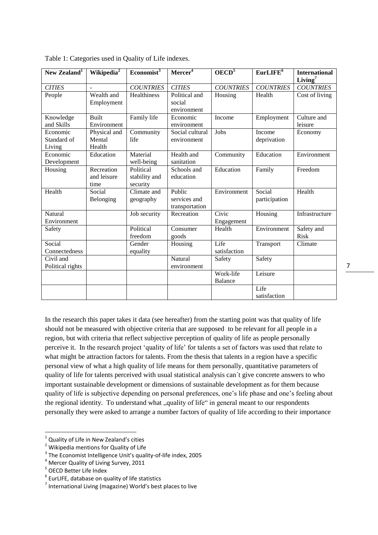| New Zealand <sup>1</sup>                    | Wikipedia <sup>2</sup>            | $E$ conomist <sup>3</sup>              | Mercer <sup>4</sup>                      | OECD <sup>5</sup>           | EurLIFE <sup>6</sup>    | <b>International</b><br>Living <sup>7</sup> |
|---------------------------------------------|-----------------------------------|----------------------------------------|------------------------------------------|-----------------------------|-------------------------|---------------------------------------------|
| <b>CITIES</b>                               | $\overline{a}$                    | <b>COUNTRIES</b>                       | <b>CITIES</b>                            | <b>COUNTRIES</b>            | <b>COUNTRIES</b>        | <b>COUNTRIES</b>                            |
| People                                      | Wealth and<br>Employment          | Healthiness                            | Political and<br>social<br>environment   | Housing                     | Health                  | Cost of living                              |
| Knowledge<br>and Skills                     | <b>Built</b><br>Environment       | Family life                            | Economic<br>environment                  | Income                      | Employment              | Culture and<br>leisure                      |
| Economic<br>Standard of<br>Living           | Physical and<br>Mental<br>Health  | Community<br>life                      | Social cultural<br>environment           | Jobs                        | Income<br>deprivation   | Economy                                     |
| Economic<br>Development                     | Education                         | Material<br>well-being                 | Health and<br>sanitation                 | Community                   | Education               | Environment                                 |
| Housing                                     | Recreation<br>and leisure<br>time | Political<br>stability and<br>security | Schools and<br>education                 | Education                   | Family                  | Freedom                                     |
| Health                                      | Social<br>Belonging               | Climate and<br>geography               | Public<br>services and<br>transportation | Environment                 | Social<br>participation | Health                                      |
| Natural<br>Environment                      |                                   | Job security                           | Recreation                               | Civic<br>Engagement         | Housing                 | Infrastructure                              |
| Safety                                      |                                   | Political<br>freedom                   | Consumer<br>goods                        | Health                      | Environment             | Safety and<br><b>Risk</b>                   |
| Social<br>Connectedness                     |                                   | Gender<br>equality                     | Housing                                  | Life<br>satisfaction        | Transport               | Climate                                     |
| $\overline{C}$ ivil and<br>Political rights |                                   |                                        | Natural<br>environment                   | Safety                      | Safety                  |                                             |
|                                             |                                   |                                        |                                          | Work-life<br><b>Balance</b> | Leisure                 |                                             |
|                                             |                                   |                                        |                                          |                             | Life<br>satisfaction    |                                             |

Table 1: Categories used in Quality of Life indexes.

In the research this paper takes it data (see hereafter) from the starting point was that quality of life should not be measured with objective criteria that are supposed to be relevant for all people in a region, but with criteria that reflect subjective perception of quality of life as people personally perceive it. In the research project 'quality of life' for talents a set of factors was used that relate to what might be attraction factors for talents. From the thesis that talents in a region have a specific personal view of what a high quality of life means for them personally, quantitative parameters of quality of life for talents perceived with usual statistical analysis can´t give concrete answers to who important sustainable development or dimensions of sustainable development as for them because quality of life is subjective depending on personal preferences, one's life phase and one's feeling about the regional identity. To understand what "quality of life" in general meant to our respondents personally they were asked to arrange a number factors of quality of life according to their importance

<sup>&</sup>lt;sup>1</sup> Quality of Life in New Zealand's cities

<sup>2</sup> Wikipedia mentions for Quality of Life

<sup>&</sup>lt;sup>3</sup> The Economist Intelligence Unit's quality-of-life index, 2005

<sup>4</sup> Mercer Quality of Living Survey, 2011

<sup>&</sup>lt;sup>5</sup> OECD Better Life Index

 $<sup>6</sup>$  EurLIFE, database on quality of life statistics</sup>

 $<sup>7</sup>$  International Living (magazine) World's best places to live</sup>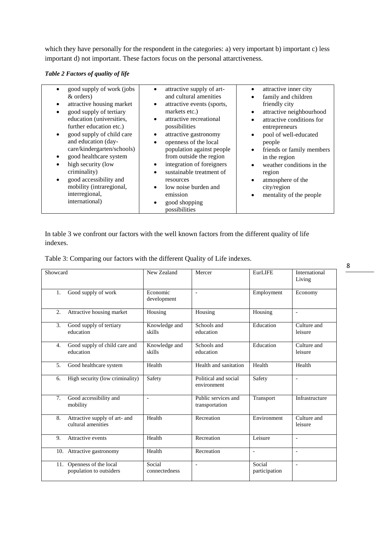which they have personally for the respondent in the categories: a) very important b) important c) less important d) not important. These factors focus on the personal attarctiveness.

*Table 2 Factors of quality of life*

| good supply of work (jobs<br>$\bullet$<br>& orders)<br>attractive housing market<br>٠<br>good supply of tertiary<br>$\bullet$<br>education (universities,<br>further education etc.)<br>good supply of child care<br>$\bullet$<br>and education (day-<br>care/kindergarten/schools)<br>good healthcare system<br>high security (low<br>$\bullet$<br>criminality)<br>good accessibility and<br>$\bullet$<br>mobility (intraregional,<br>interregional,<br>international) | attractive supply of art-<br>and cultural amenities<br>attractive events (sports,<br>$\bullet$<br>markets etc.)<br>attractive recreational<br>possibilities<br>attractive gastronomy<br>$\bullet$<br>openness of the local<br>$\bullet$<br>population against people<br>from outside the region<br>integration of foreigners<br>sustainable treatment of<br>$\bullet$<br>resources<br>low noise burden and<br>emission<br>good shopping<br>possibilities | attractive inner city<br>٠<br>family and children<br>$\bullet$<br>friendly city<br>attractive neighbourhood<br>$\bullet$<br>attractive conditions for<br>$\bullet$<br>entrepreneurs<br>pool of well-educated<br>$\bullet$<br>people<br>friends or family members<br>$\bullet$<br>in the region<br>weather conditions in the<br>$\bullet$<br>region<br>atmosphere of the<br>$\bullet$<br>city/region<br>mentality of the people<br>٠ |
|-------------------------------------------------------------------------------------------------------------------------------------------------------------------------------------------------------------------------------------------------------------------------------------------------------------------------------------------------------------------------------------------------------------------------------------------------------------------------|----------------------------------------------------------------------------------------------------------------------------------------------------------------------------------------------------------------------------------------------------------------------------------------------------------------------------------------------------------------------------------------------------------------------------------------------------------|-------------------------------------------------------------------------------------------------------------------------------------------------------------------------------------------------------------------------------------------------------------------------------------------------------------------------------------------------------------------------------------------------------------------------------------|
|-------------------------------------------------------------------------------------------------------------------------------------------------------------------------------------------------------------------------------------------------------------------------------------------------------------------------------------------------------------------------------------------------------------------------------------------------------------------------|----------------------------------------------------------------------------------------------------------------------------------------------------------------------------------------------------------------------------------------------------------------------------------------------------------------------------------------------------------------------------------------------------------------------------------------------------------|-------------------------------------------------------------------------------------------------------------------------------------------------------------------------------------------------------------------------------------------------------------------------------------------------------------------------------------------------------------------------------------------------------------------------------------|

In table 3 we confront our factors with the well known factors from the different quality of life indexes.

| Table 3: Comparing our factors with the different Quality of Life indexes. |
|----------------------------------------------------------------------------|
|----------------------------------------------------------------------------|

| Showcard                                                  | New Zealand              | Mercer                                | <b>EurLIFE</b>           | International<br>Living  |
|-----------------------------------------------------------|--------------------------|---------------------------------------|--------------------------|--------------------------|
| Good supply of work<br>1.                                 | Economic<br>development  | $\overline{\phantom{a}}$              | Employment               | Economy                  |
| $\overline{2}$ .<br>Attractive housing market             | Housing                  | Housing                               | Housing                  | $\overline{\phantom{a}}$ |
| 3.<br>Good supply of tertiary<br>education                | Knowledge and<br>skills  | Schools and<br>education              | Education                | Culture and<br>leisure   |
| Good supply of child care and<br>4.<br>education          | Knowledge and<br>skills  | Schools and<br>education              | Education                | Culture and<br>leisure   |
| 5.<br>Good healthcare system                              | Health                   | Health and sanitation                 | Health                   | Health                   |
| High security (low criminality)<br>6.                     | Safety                   | Political and social<br>environment   | Safety                   | $\overline{\phantom{a}}$ |
| 7.<br>Good accessibility and<br>mobility                  | $\overline{\phantom{a}}$ | Public services and<br>transportation | Transport                | Infrastructure           |
| Attractive supply of art- and<br>8.<br>cultural amenities | Health                   | Recreation                            | Environment              | Culture and<br>leisure   |
| Attractive events<br>9.                                   | Health                   | Recreation                            | Leisure                  | $\overline{\phantom{a}}$ |
| 10. Attractive gastronomy                                 | Health                   | Recreation                            | $\overline{\phantom{a}}$ | $\overline{\phantom{a}}$ |
| Openness of the local<br>11.<br>population to outsiders   | Social<br>connectedness  | $\overline{\phantom{0}}$              | Social<br>participation  | $\blacksquare$           |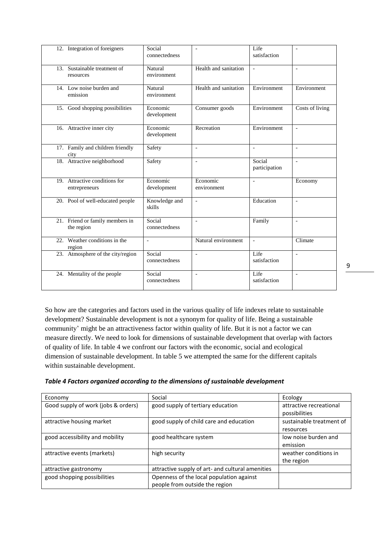| 12. Integration of foreigners                  | Social<br>connectedness | $\overline{a}$          | Life<br>satisfaction     | $\overline{a}$           |
|------------------------------------------------|-------------------------|-------------------------|--------------------------|--------------------------|
| 13. Sustainable treatment of<br>resources      | Natural<br>environment  | Health and sanitation   | $\overline{\phantom{a}}$ | $\blacksquare$           |
| 14. Low noise burden and<br>emission           | Natural<br>environment  | Health and sanitation   | Environment              | Environment              |
| 15. Good shopping possibilities                | Economic<br>development | Consumer goods          | Environment              | Costs of living          |
| 16. Attractive inner city                      | Economic<br>development | Recreation              | Environment              | $\overline{\phantom{a}}$ |
| 17. Family and children friendly<br>city       | Safety                  | $\overline{a}$          | $\overline{\phantom{a}}$ | $\overline{\phantom{a}}$ |
| 18. Attractive neighborhood                    | Safety                  | $\overline{a}$          | Social<br>participation  | $\overline{a}$           |
| 19. Attractive conditions for<br>entrepreneurs | Economic<br>development | Economic<br>environment | $\overline{\phantom{a}}$ | Economy                  |
| 20. Pool of well-educated people               | Knowledge and<br>skills | $\overline{a}$          | Education                | $\overline{a}$           |
| 21. Friend or family members in<br>the region  | Social<br>connectedness | $\overline{a}$          | Family                   | $\overline{a}$           |
| 22. Weather conditions in the<br>region        | $\overline{a}$          | Natural environment     | $\overline{a}$           | Climate                  |
| 23. Atmosphere of the city/region              | Social<br>connectedness | $\overline{a}$          | Life<br>satisfaction     | $\overline{\phantom{a}}$ |
| 24. Mentality of the people                    | Social<br>connectedness | $\overline{a}$          | Life<br>satisfaction     | $\overline{a}$           |

So how are the categories and factors used in the various quality of life indexes relate to sustainable development? Sustainable development is not a synonym for quality of life. Being a sustainable community' might be an attractiveness factor within quality of life. But it is not a factor we can measure directly. We need to look for dimensions of sustainable development that overlap with factors of quality of life. In table 4 we confront our factors with the economic, social and ecological dimension of sustainable development. In table 5 we attempted the same for the different capitals within sustainable development.

| Table 4 Factors organized according to the dimensions of sustainable development |  |
|----------------------------------------------------------------------------------|--|
|                                                                                  |  |

| Economy                             | Social                                           | Ecology                  |
|-------------------------------------|--------------------------------------------------|--------------------------|
| Good supply of work (jobs & orders) | good supply of tertiary education                | attractive recreational  |
|                                     |                                                  | possibilities            |
| attractive housing market           | good supply of child care and education          | sustainable treatment of |
|                                     |                                                  | resources                |
| good accessibility and mobility     | good healthcare system                           | low noise burden and     |
|                                     |                                                  | emission                 |
| attractive events (markets)         | high security                                    | weather conditions in    |
|                                     |                                                  | the region               |
| attractive gastronomy               | attractive supply of art- and cultural amenities |                          |
| good shopping possibilities         | Openness of the local population against         |                          |
|                                     | people from outside the region                   |                          |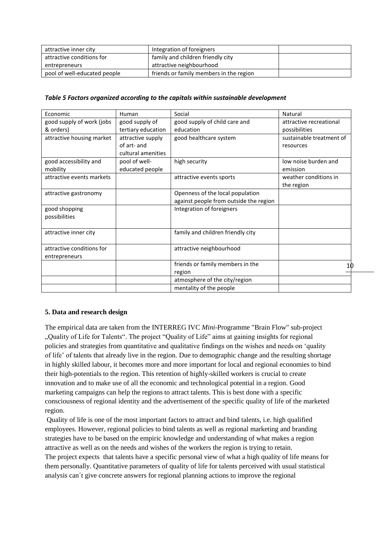| attractive inner city        | Integration of foreigners               |  |
|------------------------------|-----------------------------------------|--|
| attractive conditions for    | family and children friendly city       |  |
| entrepreneurs                | attractive neighbourhood                |  |
| pool of well-educated people | friends or family members in the region |  |

#### *Table 5 Factors organized according to the capitals within sustainable development*

| Economic                  | Human              | Social                                 | Natural                  |
|---------------------------|--------------------|----------------------------------------|--------------------------|
| good supply of work (jobs | good supply of     | good supply of child care and          | attractive recreational  |
| & orders)                 | tertiary education | education                              | possibilities            |
| attractive housing market | attractive supply  | good healthcare system                 | sustainable treatment of |
|                           | of art- and        |                                        | resources                |
|                           | cultural amenities |                                        |                          |
| good accessibility and    | pool of well-      | high security                          | low noise burden and     |
| mobility                  | educated people    |                                        | emission                 |
| attractive events markets |                    | attractive events sports               | weather conditions in    |
|                           |                    |                                        | the region               |
| attractive gastronomy     |                    | Openness of the local population       |                          |
|                           |                    | against people from outside the region |                          |
| good shopping             |                    | Integration of foreigners              |                          |
| possibilities             |                    |                                        |                          |
|                           |                    |                                        |                          |
| attractive inner city     |                    | family and children friendly city      |                          |
|                           |                    |                                        |                          |
| attractive conditions for |                    | attractive neighbourhood               |                          |
| entrepreneurs             |                    |                                        |                          |
|                           |                    | friends or family members in the       |                          |
|                           |                    | region                                 |                          |
|                           |                    | atmosphere of the city/region          |                          |
|                           |                    | mentality of the people                |                          |

## **5. Data and research design**

The empirical data are taken from the INTERREG IVC *Mini*-Programme "Brain Flow" sub-project "Quality of Life for Talents". The project "Quality of Life" aims at gaining insights for regional policies and strategies from quantitative and qualitative findings on the wishes and needs on 'quality of life' of talents that already live in the region. Due to demographic change and the resulting shortage in highly skilled labour, it becomes more and more important for local and regional economies to bind their high-potentials to the region. This retention of highly-skilled workers is crucial to create innovation and to make use of all the economic and technological potential in a region. Good marketing campaigns can help the regions to attract talents. This is best done with a specific consciousness of regional identity and the advertisement of the specific quality of life of the marketed region.

Quality of life is one of the most important factors to attract and bind talents, i.e. high qualified employees. However, regional policies to bind talents as well as regional marketing and branding strategies have to be based on the empiric knowledge and understanding of what makes a region attractive as well as on the needs and wishes of the workers the region is trying to retain. The project expects that talents have a specific personal view of what a high quality of life means for them personally. Quantitative parameters of quality of life for talents perceived with usual statistical analysis can´t give concrete answers for regional planning actions to improve the regional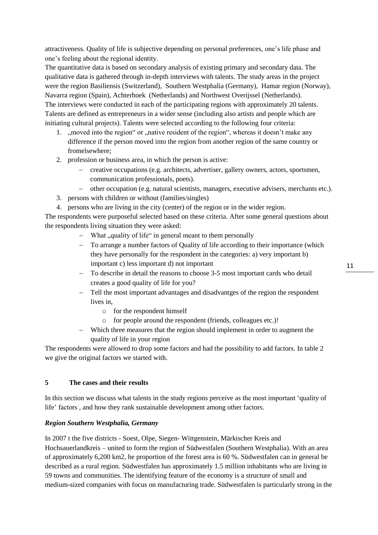attractiveness. Quality of life is subjective depending on personal preferences, one's life phase and one's feeling about the regional identity.

The quantitative data is based on secondary analysis of existing primary and secondary data. The qualitative data is gathered through in-depth interviews with talents. The study areas in the project were the region Basiliensis (Switzerland), Southern Westphalia (Germany), Hamar region (Norway), Navarra region (Spain), Achterhoek (Netherlands) and Northwest Overijssel (Netherlands). The interviews were conducted in each of the participating regions with approximately 20 talents. Talents are defined as entrepreneurs in a wider sense (including also artists and people which are initiating cultural projects). Talents were selected according to the following four criteria:

- 1. "moved into the region" or "native resident of the region", whereas it doesn't make any difference if the person moved into the region from another region of the same country or fromelsewhere;
- 2. profession or business area, in which the person is active:
	- creative occupations (e.g. architects, advertiser, gallery owners, actors, sportsmen, communication professionals, poets).
	- other occupation (e.g. natural scientists, managers, executive advisers, merchants etc.).
- 3. persons with children or without (families/singles)
- 4. persons who are living in the city (center) of the region or in the wider region.

The respondents were purposeful selected based on these criteria. After some general questions about the respondents living situation they were asked:

- What , quality of life" in general meant to them personally
- To arrange a number factors of Quality of life according to their importance (which they have personally for the respondent in the categories: a) very important b) important c) less important d) not important
- To describe in detail the reasons to choose 3-5 most important cards who detail creates a good quality of life for you?
- Tell the most important advantages and disadvantges of the region the respondent lives in,
	- o for the respondent himself
	- o for people around the respondent (friends, colleagues etc.)!
- Which three measures that the region should implement in order to augment the quality of life in your region

The respondents were allowed to drop some factors and had the possibility to add factors. In table 2 we give the original factors we started with.

## **5 The cases and their results**

In this section we discuss what talents in the study regions perceive as the most important 'quality of life' factors , and how they rank sustainable development among other factors.

## *Region Southern Westphalia, Germany*

In 2007 t the five districts - Soest, Olpe, Siegen- Wittgenstein, Märkischer Kreis and Hochsauerlandkreis – united to form the region of Südwestfalen (Southern Westphalia). With an area of approximately 6,200 km2, he proportion of the forest area is 60 %. Südwestfalen can in general be described as a rural region. Südwestfalen has approximately 1.5 million inhabitants who are living in 59 towns and communities. The identifying feature of the economy is a structure of small and medium-sized companies with focus on manufacturing trade. Südwestfalen is particularly strong in the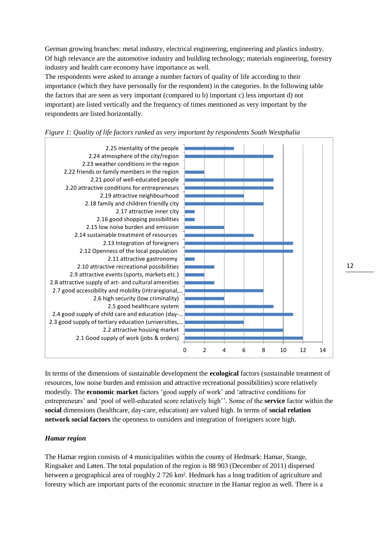German growing branches: metal industry, electrical engineering, engineering and plastics industry. Of high relevance are the automotive industry and building technology; materials engineering, forestry industry and health care economy have importance as well.

The respondents were asked to arrange a number factors of quality of life according to their importance (which they have personally for the respondent) in the categories. In the following table the factors that are seen as very important (compared to b) important c) less important d) not important) are listed vertically and the frequency of times mentioned as very important by the respondents are listed horizontally.





In terms of the dimensions of sustainable development the **ecological** factors (sustainable treatment of resources, low noise burden and emission and attractive recreational possibilities) score relatively modestly. The **economic market** factors 'good supply of work' and 'attractive conditions for entrepreneurs' and 'pool of well-educated score relatively high''. Some of the **service** factor within the **social** dimensions (healthcare, day-care, education) are valued high. In terms of **social relation network social factors** the openness to outsiders and integration of foreigners score high.

## *Hamar region*

The Hamar region consists of 4 municipalities within the county of Hedmark: Hamar, Stange, Ringsaker and Løten. The total population of the region is 88 903 (December of 2011) dispersed between a geographical area of roughly 2 726 km². Hedmark has a long tradition of agriculture and forestry which are important parts of the economic structure in the Hamar region as well. There is a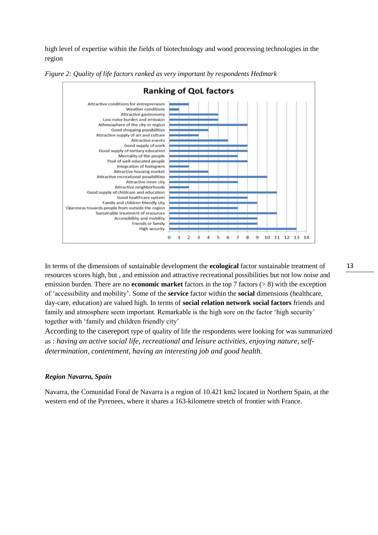high level of expertise within the fields of biotechnology and wood processing technologies in the region



*Figure 2: Quality of life factors ranked as very important by respondents Hedmark*

In terms of the dimensions of sustainable development the **ecological** factor sustainable treatment of resources scores high, but , and emission and attractive recreational possibilities but not low noise and emission burden. There are no **economic market** factors in the top 7 factors (> 8) with the exception of 'accessibility and mobility'. Some of the **service** factor within the **social** dimensions (healthcare, day-care, education) are valued high. In terms of **social relation network social factors** friends and family and atmosphere seem important. Remarkable is the high sore on the factor 'high security' together with 'family and children friendly city'

According to the casereport type of quality of life the respondents were looking for was summarized as : *having an active social life, recreational and leisure activities, enjoying nature, selfdetermination, contentment, having an interesting job and good health.*

#### *Region Navarra, Spain*

Navarra, the Comunidad Foral de Navarra is a region of 10.421 km2 located in Northern Spain, at the western end of the Pyrenees, where it shares a 163-kilometre stretch of frontier with France.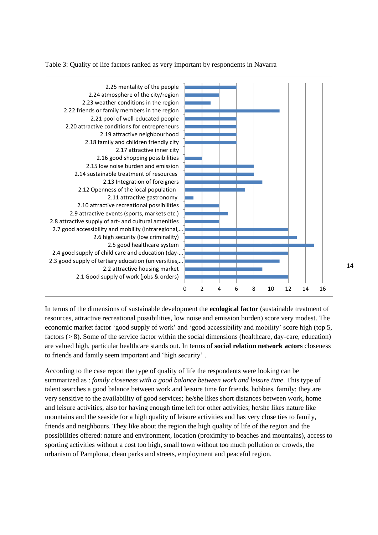Table 3: Quality of life factors ranked as very important by respondents in Navarra



In terms of the dimensions of sustainable development the **ecological factor** (sustainable treatment of resources, attractive recreational possibilities, low noise and emission burden) score very modest. The economic market factor 'good supply of work' and 'good accessibility and mobility' score high (top 5, factors (> 8). Some of the service factor within the social dimensions (healthcare, day-care, education) are valued high, particular healthcare stands out. In terms of **social relation network actors** closeness to friends and family seem important and 'high security' .

According to the case report the type of quality of life the respondents were looking can be summarized as : *family closeness with a good balance between work and leisure time*. This type of talent searches a good balance between work and leisure time for friends, hobbies, family; they are very sensitive to the availability of good services; he/she likes short distances between work, home and leisure activities, also for having enough time left for other activities; he/she likes nature like mountains and the seaside for a high quality of leisure activities and has very close ties to family, friends and neighbours. They like about the region the high quality of life of the region and the possibilities offered: nature and environment, location (proximity to beaches and mountains), access to sporting activities without a cost too high, small town without too much pollution or crowds, the urbanism of Pamplona, clean parks and streets, employment and peaceful region.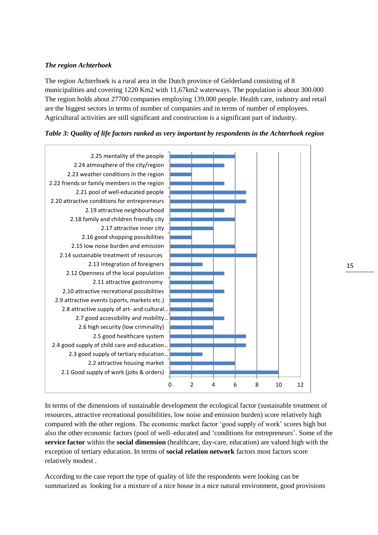# *The region Achterhoek*

The region Achterhoek is a rural area in the Dutch province of Gelderland consisting of 8 municipalities and covering 1220 Km2 with 11,67km2 waterways. The population is about 300.000 The region holds about 27700 companies employing 139.000 people. Health care, industry and retail are the biggest sectors in terms of number of companies and in terms of number of employees. Agricultural activities are still significant and construction is a significant part of industry.

# *Table 3: Quality of life factors ranked as very important by respondents in the Achterhoek region*



In terms of the dimensions of sustainable development the ecological factor (sustainable treatment of resources, attractive recreational possibilities, low noise and emission burden) score relatively high compared with the other regions. The economic market factor 'good supply of work' scores high but also the other economic factors (pool of well–educated and 'conditions for entrepreneurs'. Some of the **service factor** within the **social dimension** (healthcare, day-care, education) are valued high with the exception of tertiary education. In terms of **social relation network** factors most factors score relatively modest .

According to the case report the type of quality of life the respondents were looking can be summarized as looking for a mixture of a nice house in a nice natural environment, good provisions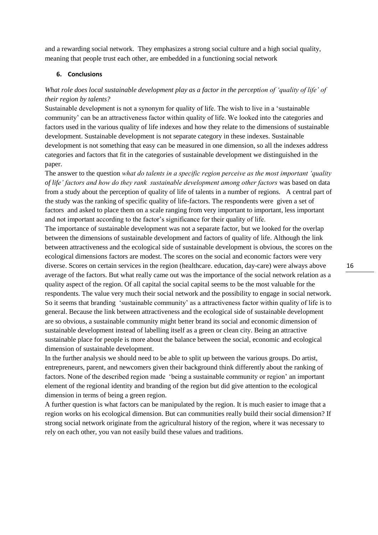and a rewarding social network. They emphasizes a strong social culture and a high social quality, meaning that people trust each other, are embedded in a functioning social network

#### **6. Conclusions**

# What role does local sustainable development play as a factor in the perception of 'quality of life' of *their region by talents?*

Sustainable development is not a synonym for quality of life. The wish to live in a 'sustainable community' can be an attractiveness factor within quality of life. We looked into the categories and factors used in the various quality of life indexes and how they relate to the dimensions of sustainable development. Sustainable development is not separate category in these indexes. Sustainable development is not something that easy can be measured in one dimension, so all the indexes address categories and factors that fit in the categories of sustainable development we distinguished in the paper.

The answer to the question *what do talents in a specific region perceive as the most important 'quality of life' factors and how do they rank sustainable development among other factors* was based on data from a study about the perception of quality of life of talents in a number of regions. A central part of the study was the ranking of specific quality of life-factors. The respondents were given a set of factors and asked to place them on a scale ranging from very important to important, less important and not important according to the factor's significance for their quality of life.

The importance of sustainable development was not a separate factor, but we looked for the overlap between the dimensions of sustainable development and factors of quality of life. Although the link between attractiveness and the ecological side of sustainable development is obvious, the scores on the ecological dimensions factors are modest. The scores on the social and economic factors were very diverse. Scores on certain services in the region (healthcare. education, day-care) were always above average of the factors. But what really came out was the importance of the social network relation as a quality aspect of the region. Of all capital the social capital seems to be the most valuable for the respondents. The value very much their social network and the possibility to engage in social network. So it seems that branding 'sustainable community' as a attractiveness factor within quality of life is to general. Because the link between attractiveness and the ecological side of sustainable development are so obvious, a sustainable community might better brand its social and economic dimension of sustainable development instead of labelling itself as a green or clean city. Being an attractive sustainable place for people is more about the balance between the social, economic and ecological dimension of sustainable development.

In the further analysis we should need to be able to split up between the various groups. Do artist, entrepreneurs, parent, and newcomers given their background think differently about the ranking of factors. None of the described region made 'being a sustainable community or region' an important element of the regional identity and branding of the region but did give attention to the ecological dimension in terms of being a green region.

A further question is what factors can be manipulated by the region. It is much easier to image that a region works on his ecological dimension. But can communities really build their social dimension? If strong social network originate from the agricultural history of the region, where it was necessary to rely on each other, you van not easily build these values and traditions.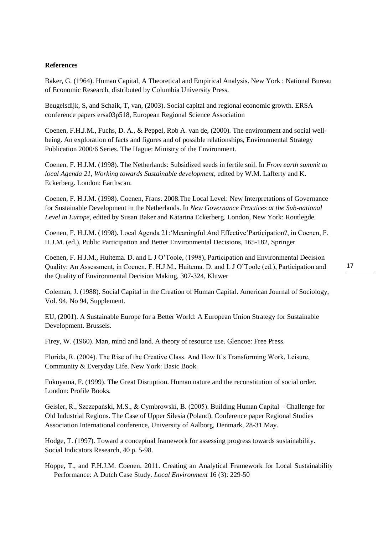#### **References**

Baker, G. (1964). Human Capital, A Theoretical and Empirical Analysis. New York : National Bureau of Economic Research, distributed by Columbia University Press.

Beugelsdijk, S, and Schaik, T, van, (2003). Social capital and regional economic growth. ERSA conference papers ersa03p518, European Regional Science Association

Coenen, F.H.J.M., Fuchs, D. A., & Peppel, Rob A. van de, (2000). The environment and social wellbeing. An exploration of facts and figures and of possible relationships, Environmental Strategy Publication 2000/6 Series. The Hague: Ministry of the Environment.

Coenen, F. H.J.M. (1998). The Netherlands: Subsidized seeds in fertile soil. In *From earth summit to local Agenda 21, Working towards Sustainable development*, edited by W.M. Lafferty and K. Eckerberg. London: Earthscan.

Coenen, F. H.J.M. (1998). Coenen, Frans. 2008.The Local Level: New Interpretations of Governance for Sustainable Development in the Netherlands. In *New Governance Practices at the Sub-national Level in Europe*, edited by Susan Baker and Katarina Eckerberg. London, New York: Routlegde.

Coenen, F. H.J.M. (1998). Local Agenda 21:'Meaningful And Effective'Participation?, in Coenen, F. H.J.M. (ed.), Public Participation and Better Environmental Decisions, 165-182, Springer

Coenen, F. H.J.M., Huitema. D. and L J O'Toole, (1998), Participation and Environmental Decision Quality: An Assessment, in Coenen, F. H.J.M., Huitema. D. and L J O'Toole (ed.), Participation and the Quality of Environmental Decision Making, 307-324, Kluwer

Coleman, J. (1988). Social Capital in the Creation of Human Capital. American Journal of Sociology, Vol. 94, No 94, Supplement.

EU, (2001). A Sustainable Europe for a Better World: A European Union Strategy for Sustainable Development. Brussels.

Firey, W. (1960). Man, mind and land. A theory of resource use. Glencoe: Free Press.

Florida, R. (2004). The Rise of the Creative Class. And How It's Transforming Work, Leisure, Community & Everyday Life. New York: Basic Book.

Fukuyama, F. (1999). The Great Disruption. Human nature and the reconstitution of social order. London: Profile Books.

Geisler, R., Szczepański, M.S., & Cymbrowski, B. (2005). Building Human Capital – Challenge for Old Industrial Regions. The Case of Upper Silesia (Poland). Conference paper Regional Studies Association International conference, University of Aalborg, Denmark, 28-31 May.

Hodge, T. (1997). Toward a conceptual framework for assessing progress towards sustainability. Social Indicators Research, 40 p. 5-98.

Hoppe, T., and F.H.J.M. Coenen. 2011. Creating an Analytical Framework for Local Sustainability Performance: A Dutch Case Study. *Local Environment* 16 (3): 229-50